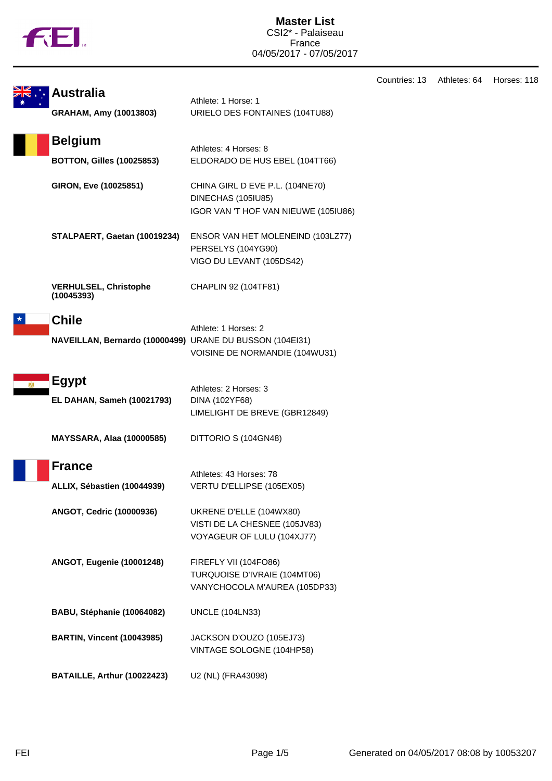

|                                                                          |                                                                                               | Countries: 13 | Athletes: 64 | Horses: 118 |
|--------------------------------------------------------------------------|-----------------------------------------------------------------------------------------------|---------------|--------------|-------------|
| <b>Australia</b><br>GRAHAM, Amy (10013803)                               | Athlete: 1 Horse: 1<br>URIELO DES FONTAINES (104TU88)                                         |               |              |             |
| <b>Belgium</b><br><b>BOTTON, Gilles (10025853)</b>                       | Athletes: 4 Horses: 8<br>ELDORADO DE HUS EBEL (104TT66)                                       |               |              |             |
| GIRON, Eve (10025851)                                                    | CHINA GIRL D EVE P.L. (104NE70)<br>DINECHAS (105IU85)<br>IGOR VAN 'T HOF VAN NIEUWE (105IU86) |               |              |             |
| STALPAERT, Gaetan (10019234)                                             | ENSOR VAN HET MOLENEIND (103LZ77)<br>PERSELYS (104YG90)<br>VIGO DU LEVANT (105DS42)           |               |              |             |
| <b>VERHULSEL, Christophe</b><br>(10045393)                               | CHAPLIN 92 (104TF81)                                                                          |               |              |             |
| <b>Chile</b><br>NAVEILLAN, Bernardo (10000499) URANE DU BUSSON (104EI31) | Athlete: 1 Horses: 2<br>VOISINE DE NORMANDIE (104WU31)                                        |               |              |             |
| <b>Egypt</b><br>EL DAHAN, Sameh (10021793)                               | Athletes: 2 Horses: 3<br>DINA (102YF68)<br>LIMELIGHT DE BREVE (GBR12849)                      |               |              |             |
| <b>MAYSSARA, Alaa (10000585)</b>                                         | DITTORIO S (104GN48)                                                                          |               |              |             |
| <b>France</b><br>ALLIX, Sébastien (10044939)                             | Athletes: 43 Horses: 78<br>VERTU D'ELLIPSE (105EX05)                                          |               |              |             |
| ANGOT, Cedric (10000936)                                                 | UKRENE D'ELLE (104WX80)<br>VISTI DE LA CHESNEE (105JV83)<br>VOYAGEUR OF LULU (104XJ77)        |               |              |             |
| <b>ANGOT, Eugenie (10001248)</b>                                         | FIREFLY VII (104FO86)<br>TURQUOISE D'IVRAIE (104MT06)<br>VANYCHOCOLA M'AUREA (105DP33)        |               |              |             |
| BABU, Stéphanie (10064082)                                               | <b>UNCLE (104LN33)</b>                                                                        |               |              |             |
| <b>BARTIN, Vincent (10043985)</b>                                        | JACKSON D'OUZO (105EJ73)<br>VINTAGE SOLOGNE (104HP58)                                         |               |              |             |
| BATAILLE, Arthur (10022423)                                              | U2 (NL) (FRA43098)                                                                            |               |              |             |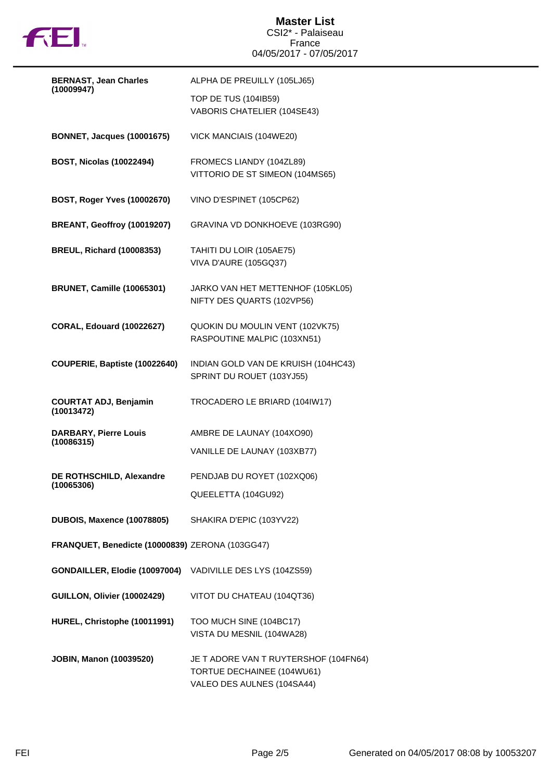

## **Master List** CSI2\* - Palaiseau France 04/05/2017 - 07/05/2017

| <b>BERNAST, Jean Charles</b>                              | ALPHA DE PREUILLY (105LJ65)                                                                       |  |  |  |  |
|-----------------------------------------------------------|---------------------------------------------------------------------------------------------------|--|--|--|--|
| (10009947)                                                | TOP DE TUS (104IB59)<br>VABORIS CHATELIER (104SE43)                                               |  |  |  |  |
| <b>BONNET, Jacques (10001675)</b>                         | VICK MANCIAIS (104WE20)                                                                           |  |  |  |  |
| <b>BOST, Nicolas (10022494)</b>                           | FROMECS LIANDY (104ZL89)<br>VITTORIO DE ST SIMEON (104MS65)                                       |  |  |  |  |
| BOST, Roger Yves (10002670)                               | VINO D'ESPINET (105CP62)                                                                          |  |  |  |  |
| BREANT, Geoffroy (10019207)                               | GRAVINA VD DONKHOEVE (103RG90)                                                                    |  |  |  |  |
| <b>BREUL, Richard (10008353)</b>                          | TAHITI DU LOIR (105AE75)<br>VIVA D'AURE (105GQ37)                                                 |  |  |  |  |
| <b>BRUNET, Camille (10065301)</b>                         | JARKO VAN HET METTENHOF (105KL05)<br>NIFTY DES QUARTS (102VP56)                                   |  |  |  |  |
| <b>CORAL, Edouard (10022627)</b>                          | QUOKIN DU MOULIN VENT (102VK75)<br>RASPOUTINE MALPIC (103XN51)                                    |  |  |  |  |
| COUPERIE, Baptiste (10022640)                             | INDIAN GOLD VAN DE KRUISH (104HC43)<br>SPRINT DU ROUET (103YJ55)                                  |  |  |  |  |
| <b>COURTAT ADJ, Benjamin</b><br>(10013472)                | TROCADERO LE BRIARD (104IW17)                                                                     |  |  |  |  |
| <b>DARBARY, Pierre Louis</b><br>(10086315)                | AMBRE DE LAUNAY (104XO90)<br>VANILLE DE LAUNAY (103XB77)                                          |  |  |  |  |
| DE ROTHSCHILD, Alexandre<br>(10065306)                    | PENDJAB DU ROYET (102XQ06)<br>QUEELETTA (104GU92)                                                 |  |  |  |  |
| <b>DUBOIS, Maxence (10078805)</b>                         | SHAKIRA D'EPIC (103YV22)                                                                          |  |  |  |  |
|                                                           | FRANQUET, Benedicte (10000839) ZERONA (103GG47)                                                   |  |  |  |  |
| GONDAILLER, Elodie (10097004) VADIVILLE DES LYS (104ZS59) |                                                                                                   |  |  |  |  |
| GUILLON, Olivier (10002429)                               | VITOT DU CHATEAU (104QT36)                                                                        |  |  |  |  |
| HUREL, Christophe (10011991)                              | TOO MUCH SINE (104BC17)<br>VISTA DU MESNIL (104WA28)                                              |  |  |  |  |
| <b>JOBIN, Manon (10039520)</b>                            | JE T ADORE VAN T RUYTERSHOF (104FN64)<br>TORTUE DECHAINEE (104WU61)<br>VALEO DES AULNES (104SA44) |  |  |  |  |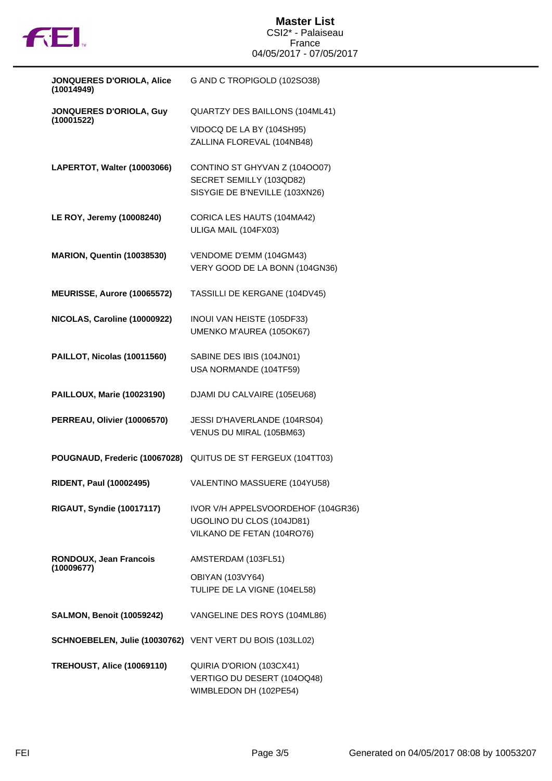

| JONQUERES D'ORIOLA, Alice<br>(10014949)                   | G AND C TROPIGOLD (102SO38)                                                                   |
|-----------------------------------------------------------|-----------------------------------------------------------------------------------------------|
| JONQUERES D'ORIOLA, Guy                                   | QUARTZY DES BAILLONS (104ML41)                                                                |
| (10001522)                                                | VIDOCQ DE LA BY (104SH95)<br>ZALLINA FLOREVAL (104NB48)                                       |
| LAPERTOT, Walter (10003066)                               | CONTINO ST GHYVAN Z (1040007)<br>SECRET SEMILLY (103QD82)<br>SISYGIE DE B'NEVILLE (103XN26)   |
| LE ROY, Jeremy (10008240)                                 | CORICA LES HAUTS (104MA42)<br>ULIGA MAIL (104FX03)                                            |
| <b>MARION, Quentin (10038530)</b>                         | VENDOME D'EMM (104GM43)<br>VERY GOOD DE LA BONN (104GN36)                                     |
| MEURISSE, Aurore (10065572)                               | TASSILLI DE KERGANE (104DV45)                                                                 |
| NICOLAS, Caroline (10000922)                              | INOUI VAN HEISTE (105DF33)<br>UMENKO M'AUREA (105OK67)                                        |
| PAILLOT, Nicolas (10011560)                               | SABINE DES IBIS (104JN01)<br>USA NORMANDE (104TF59)                                           |
| <b>PAILLOUX, Marie (10023190)</b>                         | DJAMI DU CALVAIRE (105EU68)                                                                   |
| PERREAU, Olivier (10006570)                               | JESSI D'HAVERLANDE (104RS04)<br>VENUS DU MIRAL (105BM63)                                      |
| POUGNAUD, Frederic (10067028)                             | QUITUS DE ST FERGEUX (104TT03)                                                                |
| <b>RIDENT, Paul (10002495)</b>                            | VALENTINO MASSUERE (104YU58)                                                                  |
| <b>RIGAUT, Syndie (10017117)</b>                          | IVOR V/H APPELSVOORDEHOF (104GR36)<br>UGOLINO DU CLOS (104JD81)<br>VILKANO DE FETAN (104RO76) |
| RONDOUX, Jean Francois<br>(10009677)                      | AMSTERDAM (103FL51)                                                                           |
|                                                           | <b>OBIYAN (103VY64)</b><br>TULIPE DE LA VIGNE (104EL58)                                       |
| <b>SALMON, Benoit (10059242)</b>                          | VANGELINE DES ROYS (104ML86)                                                                  |
| SCHNOEBELEN, Julie (10030762) VENT VERT DU BOIS (103LL02) |                                                                                               |
| <b>TREHOUST, Alice (10069110)</b>                         | QUIRIA D'ORION (103CX41)<br>VERTIGO DU DESERT (104OQ48)<br>WIMBLEDON DH (102PE54)             |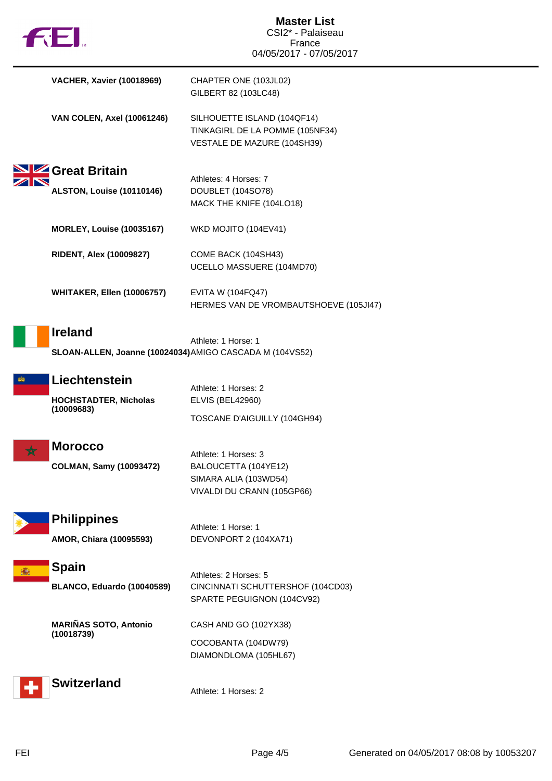| $f$ $\vdash$ $\vdash$                                       | <b>Master List</b><br>CSI2* - Palaiseau<br>France<br>04/05/2017 - 07/05/2017                                                        |
|-------------------------------------------------------------|-------------------------------------------------------------------------------------------------------------------------------------|
| <b>VACHER, Xavier (10018969)</b>                            | CHAPTER ONE (103JL02)<br>GILBERT 82 (103LC48)                                                                                       |
| <b>VAN COLEN, Axel (10061246)</b>                           | SILHOUETTE ISLAND (104QF14)<br>TINKAGIRL DE LA POMME (105NF34)<br>VESTALE DE MAZURE (104SH39)                                       |
| Great Britain<br>ALSTON, Louise (10110146)                  | Athletes: 4 Horses: 7<br>DOUBLET (104SO78)<br>MACK THE KNIFE (104LO18)                                                              |
| <b>MORLEY, Louise (10035167)</b>                            | WKD MOJITO (104EV41)                                                                                                                |
| <b>RIDENT, Alex (10009827)</b>                              | COME BACK (104SH43)<br>UCELLO MASSUERE (104MD70)                                                                                    |
| <b>WHITAKER, Ellen (10006757)</b>                           | <b>EVITA W (104FQ47)</b><br>HERMES VAN DE VROMBAUTSHOEVE (105JI47)                                                                  |
| <b>Ireland</b>                                              | Athlete: 1 Horse: 1<br>SLOAN-ALLEN, Joanne (10024034) AMIGO CASCADA M (104VS52)                                                     |
| Liechtenstein<br><b>HOCHSTADTER, Nicholas</b><br>(10009683) | Athlete: 1 Horses: 2<br><b>ELVIS (BEL42960)</b>                                                                                     |
| <b>Morocco</b><br><b>COLMAN, Samy (10093472)</b>            | TOSCANE D'AIGUILLY (104GH94)<br>Athlete: 1 Horses: 3<br>BALOUCETTA (104YE12)<br>SIMARA ALIA (103WD54)<br>VIVALDI DU CRANN (105GP66) |
| <b>Philippines</b><br>AMOR, Chiara (10095593)               | Athlete: 1 Horse: 1<br>DEVONPORT 2 (104XA71)                                                                                        |
| <b>Spain</b><br>BLANCO, Eduardo (10040589)                  | Athletes: 2 Horses: 5<br>CINCINNATI SCHUTTERSHOF (104CD03)<br>SPARTE PEGUIGNON (104CV92)                                            |
| <b>MARIÑAS SOTO, Antonio</b><br>(10018739)                  | CASH AND GO (102YX38)<br>COCOBANTA (104DW79)<br>DIAMONDLOMA (105HL67)                                                               |
| <b>Switzerland</b>                                          | Athlete: 1 Horses: 2                                                                                                                |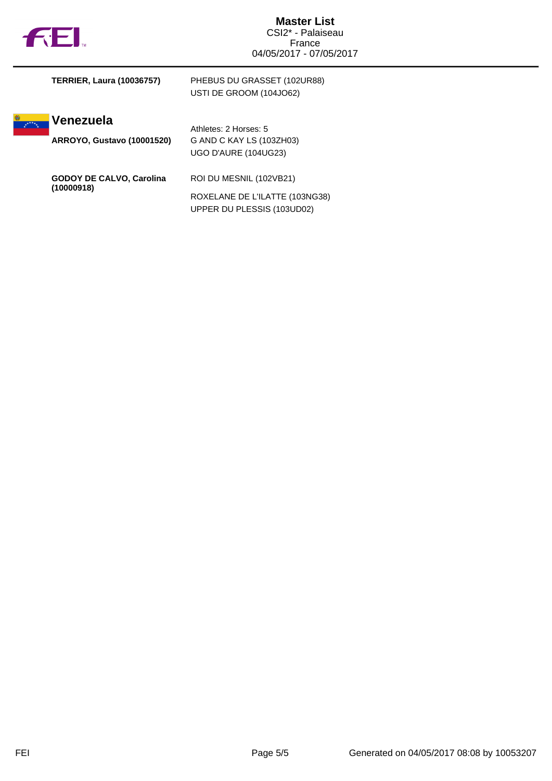|  | ΤM |
|--|----|

**SASE** 

|            | <b>TERRIER, Laura (10036757)</b>  | PHEBUS DU GRASSET (102UR88)<br>USTI DE GROOM (104JO62)       |
|------------|-----------------------------------|--------------------------------------------------------------|
| $x^{x+1}$  | Venezuela                         | Athletes: 2 Horses: 5                                        |
|            | <b>ARROYO, Gustavo (10001520)</b> | G AND C KAY LS (103ZH03)                                     |
|            |                                   | UGO D'AURE (104UG23)                                         |
|            | <b>GODOY DE CALVO, Carolina</b>   | ROI DU MESNIL (102VB21)                                      |
| (10000918) |                                   | ROXELANE DE L'ILATTE (103NG38)<br>UPPER DU PLESSIS (103UD02) |
|            |                                   |                                                              |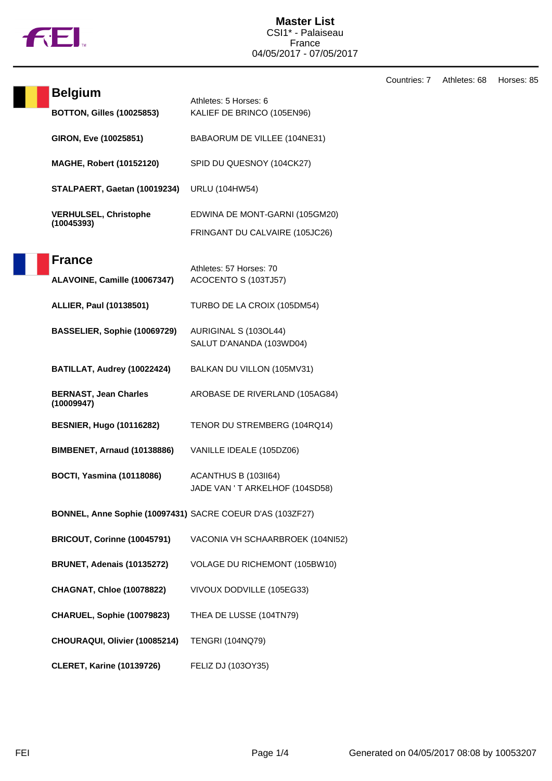

Countries: 7 Athletes: 68 Horses: 85

| <b>Belgium</b>                                            | Athletes: 5 Horses: 6                                  |
|-----------------------------------------------------------|--------------------------------------------------------|
| <b>BOTTON, Gilles (10025853)</b>                          | KALIEF DE BRINCO (105EN96)                             |
| GIRON, Eve (10025851)                                     | BABAORUM DE VILLEE (104NE31)                           |
| <b>MAGHE, Robert (10152120)</b>                           | SPID DU QUESNOY (104CK27)                              |
| STALPAERT, Gaetan (10019234)                              | <b>URLU (104HW54)</b>                                  |
| <b>VERHULSEL, Christophe</b><br>(10045393)                | EDWINA DE MONT-GARNI (105GM20)                         |
|                                                           | FRINGANT DU CALVAIRE (105JC26)                         |
| <b>France</b>                                             | Athletes: 57 Horses: 70                                |
| ALAVOINE, Camille (10067347)                              | ACOCENTO S (103TJ57)                                   |
| <b>ALLIER, Paul (10138501)</b>                            | TURBO DE LA CROIX (105DM54)                            |
| BASSELIER, Sophie (10069729)                              | AURIGINAL S (103OL44)                                  |
|                                                           | SALUT D'ANANDA (103WD04)                               |
| BATILLAT, Audrey (10022424)                               | BALKAN DU VILLON (105MV31)                             |
| <b>BERNAST, Jean Charles</b><br>(10009947)                | AROBASE DE RIVERLAND (105AG84)                         |
| <b>BESNIER, Hugo (10116282)</b>                           | TENOR DU STREMBERG (104RQ14)                           |
| <b>BIMBENET, Arnaud (10138886)</b>                        | VANILLE IDEALE (105DZ06)                               |
| <b>BOCTI, Yasmina (10118086)</b>                          | ACANTHUS B (103II64)<br>JADE VAN 'T ARKELHOF (104SD58) |
| BONNEL, Anne Sophie (10097431) SACRE COEUR D'AS (103ZF27) |                                                        |
| BRICOUT, Corinne (10045791)                               | VACONIA VH SCHAARBROEK (104NI52)                       |
| <b>BRUNET, Adenais (10135272)</b>                         | VOLAGE DU RICHEMONT (105BW10)                          |
| <b>CHAGNAT, Chloe (10078822)</b>                          | VIVOUX DODVILLE (105EG33)                              |
| CHARUEL, Sophie (10079823)                                | THEA DE LUSSE (104TN79)                                |
| CHOURAQUI, Olivier (10085214)                             | <b>TENGRI (104NQ79)</b>                                |
| <b>CLERET, Karine (10139726)</b>                          | FELIZ DJ (103OY35)                                     |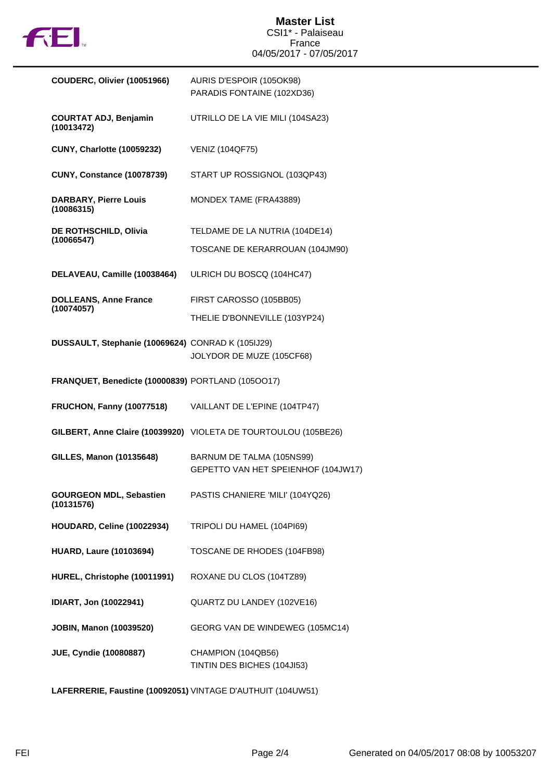

| COUDERC, Olivier (10051966)                       | AURIS D'ESPOIR (105OK98)<br>PARADIS FONTAINE (102XD36)          |
|---------------------------------------------------|-----------------------------------------------------------------|
| <b>COURTAT ADJ, Benjamin</b><br>(10013472)        | UTRILLO DE LA VIE MILI (104SA23)                                |
| <b>CUNY, Charlotte (10059232)</b>                 | <b>VENIZ (104QF75)</b>                                          |
| <b>CUNY, Constance (10078739)</b>                 | START UP ROSSIGNOL (103QP43)                                    |
| <b>DARBARY, Pierre Louis</b><br>(10086315)        | MONDEX TAME (FRA43889)                                          |
| DE ROTHSCHILD, Olivia<br>(10066547)               | TELDAME DE LA NUTRIA (104DE14)                                  |
|                                                   | TOSCANE DE KERARROUAN (104JM90)                                 |
| DELAVEAU, Camille (10038464)                      | ULRICH DU BOSCQ (104HC47)                                       |
| <b>DOLLEANS, Anne France</b><br>(10074057)        | FIRST CAROSSO (105BB05)                                         |
|                                                   | THELIE D'BONNEVILLE (103YP24)                                   |
| DUSSAULT, Stephanie (10069624) CONRAD K (105IJ29) |                                                                 |
|                                                   | JOLYDOR DE MUZE (105CF68)                                       |
| FRANQUET, Benedicte (10000839) PORTLAND (1050017) |                                                                 |
| <b>FRUCHON, Fanny (10077518)</b>                  | VAILLANT DE L'EPINE (104TP47)                                   |
|                                                   | GILBERT, Anne Claire (10039920) VIOLETA DE TOURTOULOU (105BE26) |
| GILLES, Manon (10135648)                          | BARNUM DE TALMA (105NS99)                                       |
|                                                   | GEPETTO VAN HET SPEIENHOF (104JW17)                             |
| <b>GOURGEON MDL, Sebastien</b><br>(10131576)      | PASTIS CHANIERE 'MILI' (104YQ26)                                |
| HOUDARD, Celine (10022934)                        | TRIPOLI DU HAMEL (104PI69)                                      |
| <b>HUARD, Laure (10103694)</b>                    | TOSCANE DE RHODES (104FB98)                                     |
| HUREL, Christophe (10011991)                      | ROXANE DU CLOS (104TZ89)                                        |
| IDIART, Jon (10022941)                            | QUARTZ DU LANDEY (102VE16)                                      |
| <b>JOBIN, Manon (10039520)</b>                    | GEORG VAN DE WINDEWEG (105MC14)                                 |
| <b>JUE, Cyndie (10080887)</b>                     | CHAMPION (104QB56)<br>TINTIN DES BICHES (104JI53)               |

**LAFERRERIE, Faustine (10092051)** VINTAGE D'AUTHUIT (104UW51)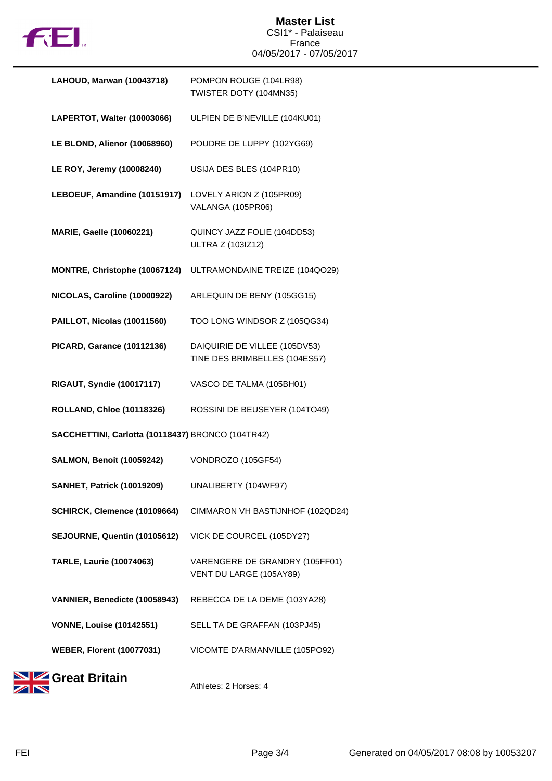

## **Master List** CSI1\* - Palaiseau France 04/05/2017 - 07/05/2017

| LAHOUD, Marwan (10043718)                         | POMPON ROUGE (104LR98)<br>TWISTER DOTY (104MN35)               |
|---------------------------------------------------|----------------------------------------------------------------|
| LAPERTOT, Walter (10003066)                       | ULPIEN DE B'NEVILLE (104KU01)                                  |
| LE BLOND, Alienor (10068960)                      | POUDRE DE LUPPY (102YG69)                                      |
| LE ROY, Jeremy (10008240)                         | USIJA DES BLES (104PR10)                                       |
| LEBOEUF, Amandine (10151917)                      | LOVELY ARION Z (105PR09)<br>VALANGA (105PR06)                  |
| <b>MARIE, Gaelle (10060221)</b>                   | QUINCY JAZZ FOLIE (104DD53)<br>ULTRA Z (103IZ12)               |
| MONTRE, Christophe (10067124)                     | ULTRAMONDAINE TREIZE (104QO29)                                 |
| NICOLAS, Caroline (10000922)                      | ARLEQUIN DE BENY (105GG15)                                     |
| PAILLOT, Nicolas (10011560)                       | TOO LONG WINDSOR Z (105QG34)                                   |
| <b>PICARD, Garance (10112136)</b>                 | DAIQUIRIE DE VILLEE (105DV53)<br>TINE DES BRIMBELLES (104ES57) |
| <b>RIGAUT, Syndie (10017117)</b>                  | VASCO DE TALMA (105BH01)                                       |
| <b>ROLLAND, Chloe (10118326)</b>                  | ROSSINI DE BEUSEYER (104TO49)                                  |
| SACCHETTINI, Carlotta (10118437) BRONCO (104TR42) |                                                                |
| <b>SALMON, Benoit (10059242)</b>                  | VONDROZO (105GF54)                                             |
| <b>SANHET, Patrick (10019209)</b>                 | UNALIBERTY (104WF97)                                           |
| SCHIRCK, Clemence (10109664)                      | CIMMARON VH BASTIJNHOF (102QD24)                               |
| SEJOURNE, Quentin (10105612)                      | VICK DE COURCEL (105DY27)                                      |
| <b>TARLE, Laurie (10074063)</b>                   | VARENGERE DE GRANDRY (105FF01)<br>VENT DU LARGE (105AY89)      |
| VANNIER, Benedicte (10058943)                     | REBECCA DE LA DEME (103YA28)                                   |
| <b>VONNE, Louise (10142551)</b>                   | SELL TA DE GRAFFAN (103PJ45)                                   |
| <b>WEBER, Florent (10077031)</b>                  | VICOMTE D'ARMANVILLE (105PO92)                                 |
| <b>Great Britain</b>                              |                                                                |

Athletes: 2 Horses: 4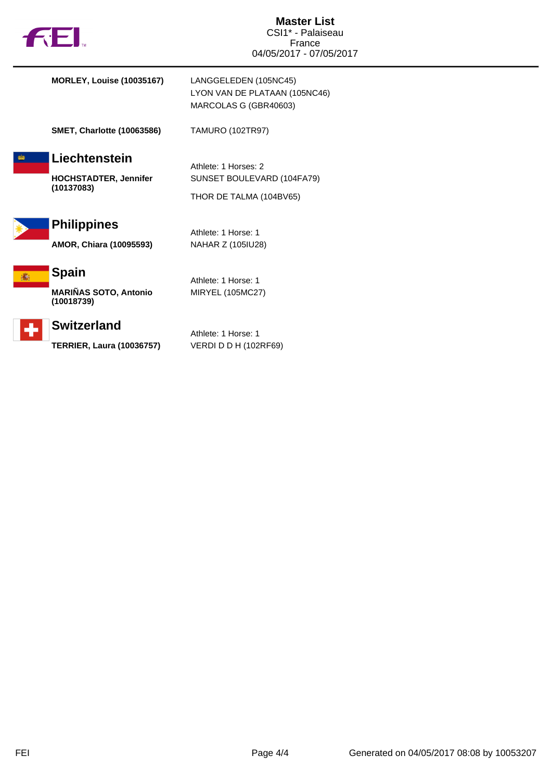| <b>132.</b>                                                 | <b>Master List</b><br>CSI1* - Palaiseau<br>France<br>04/05/2017 - 07/05/2017    |
|-------------------------------------------------------------|---------------------------------------------------------------------------------|
| <b>MORLEY, Louise (10035167)</b>                            | LANGGELEDEN (105NC45)<br>LYON VAN DE PLATAAN (105NC46)<br>MARCOLAS G (GBR40603) |
| <b>SMET, Charlotte (10063586)</b>                           | <b>TAMURO (102TR97)</b>                                                         |
| Liechtenstein<br><b>HOCHSTADTER, Jennifer</b><br>(10137083) | Athlete: 1 Horses: 2<br>SUNSET BOULEVARD (104FA79)<br>THOR DE TALMA (104BV65)   |
| <b>Philippines</b><br>AMOR, Chiara (10095593)               | Athlete: 1 Horse: 1<br>NAHAR Z (105IU28)                                        |



÷

**MARIÑAS SOTO, Antonio (10018739)**

## **Switzerland**

**TERRIER, Laura (10036757)** VERDI D D H (102RF69)

Athlete: 1 Horse: 1

Athlete: 1 Horse: 1

MIRYEL (105MC27)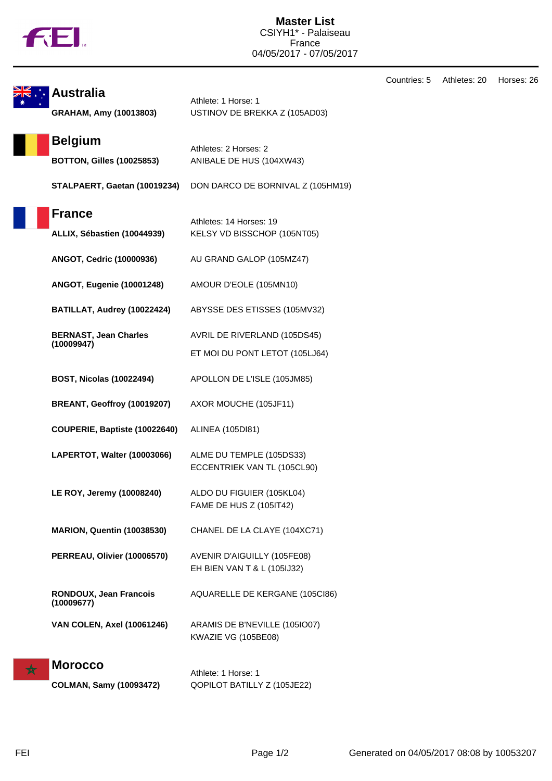

**Master List** CSIYH1\* - Palaiseau France 04/05/2017 - 07/05/2017

|   |                                                    |                                                                | Countries: 5 | Athletes: 20 | Horses: 26 |
|---|----------------------------------------------------|----------------------------------------------------------------|--------------|--------------|------------|
|   | <b>Australia</b><br>GRAHAM, Amy (10013803)         | Athlete: 1 Horse: 1<br>USTINOV DE BREKKA Z (105AD03)           |              |              |            |
|   | <b>Belgium</b><br><b>BOTTON, Gilles (10025853)</b> | Athletes: 2 Horses: 2<br>ANIBALE DE HUS (104XW43)              |              |              |            |
|   | STALPAERT, Gaetan (10019234)                       | DON DARCO DE BORNIVAL Z (105HM19)                              |              |              |            |
|   | <b>France</b><br>ALLIX, Sébastien (10044939)       | Athletes: 14 Horses: 19<br>KELSY VD BISSCHOP (105NT05)         |              |              |            |
|   | ANGOT, Cedric (10000936)                           | AU GRAND GALOP (105MZ47)                                       |              |              |            |
|   | <b>ANGOT, Eugenie (10001248)</b>                   | AMOUR D'EOLE (105MN10)                                         |              |              |            |
|   | BATILLAT, Audrey (10022424)                        | ABYSSE DES ETISSES (105MV32)                                   |              |              |            |
|   | <b>BERNAST, Jean Charles</b><br>(10009947)         | AVRIL DE RIVERLAND (105DS45)<br>ET MOI DU PONT LETOT (105LJ64) |              |              |            |
|   | <b>BOST, Nicolas (10022494)</b>                    | APOLLON DE L'ISLE (105JM85)                                    |              |              |            |
|   | BREANT, Geoffroy (10019207)                        | AXOR MOUCHE (105JF11)                                          |              |              |            |
|   | COUPERIE, Baptiste (10022640)                      | ALINEA (105DI81)                                               |              |              |            |
|   | LAPERTOT, Walter (10003066)                        | ALME DU TEMPLE (105DS33)<br>ECCENTRIEK VAN TL (105CL90)        |              |              |            |
|   | LE ROY, Jeremy (10008240)                          | ALDO DU FIGUIER (105KL04)<br>FAME DE HUS Z (105IT42)           |              |              |            |
|   | <b>MARION, Quentin (10038530)</b>                  | CHANEL DE LA CLAYE (104XC71)                                   |              |              |            |
|   | PERREAU, Olivier (10006570)                        | AVENIR D'AIGUILLY (105FE08)<br>EH BIEN VAN T & L (105IJ32)     |              |              |            |
|   | RONDOUX, Jean Francois<br>(10009677)               | AQUARELLE DE KERGANE (105CI86)                                 |              |              |            |
|   | <b>VAN COLEN, Axel (10061246)</b>                  | ARAMIS DE B'NEVILLE (105IO07)<br>KWAZIE VG (105BE08)           |              |              |            |
| ★ | <b>Morocco</b>                                     | Athlete: 1 Horse: 1                                            |              |              |            |

**COLMAN, Samy (10093472)** QOPILOT BATILLY Z (105JE22)